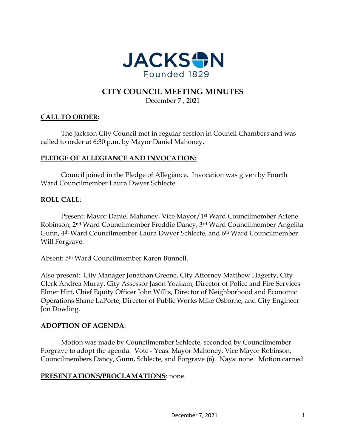

# **CITY COUNCIL MEETING MINUTES**

December 7 , 2021

# **CALL TO ORDER:**

The Jackson City Council met in regular session in Council Chambers and was called to order at 6:30 p.m. by Mayor Daniel Mahoney.

#### **PLEDGE OF ALLEGIANCE AND INVOCATION:**

Council joined in the Pledge of Allegiance. Invocation was given by Fourth Ward Councilmember Laura Dwyer Schlecte.

#### **ROLL CALL**:

Present: Mayor Daniel Mahoney, Vice Mayor/1st Ward Councilmember Arlene Robinson, 2nd Ward Councilmember Freddie Dancy, 3rd Ward Councilmember Angelita Gunn, 4th Ward Councilmember Laura Dwyer Schlecte, and 6th Ward Councilmember Will Forgrave.

Absent: 5th Ward Councilmember Karen Bunnell.

Also present: City Manager Jonathan Greene, City Attorney Matthew Hagerty, City Clerk Andrea Muray, City Assessor Jason Yoakam, Director of Police and Fire Services Elmer Hitt, Chief Equity Officer John Willis, Director of Neighborhood and Economic Operations Shane LaPorte, Director of Public Works Mike Osborne, and City Engineer Jon Dowling.

# **ADOPTION OF AGENDA**:

Motion was made by Councilmember Schlecte, seconded by Councilmember Forgrave to adopt the agenda. Vote - Yeas: Mayor Mahoney, Vice Mayor Robinson, Councilmembers Dancy, Gunn, Schlecte, and Forgrave (6). Nays: none. Motion carried.

#### **PRESENTATIONS/PROCLAMATIONS**: none.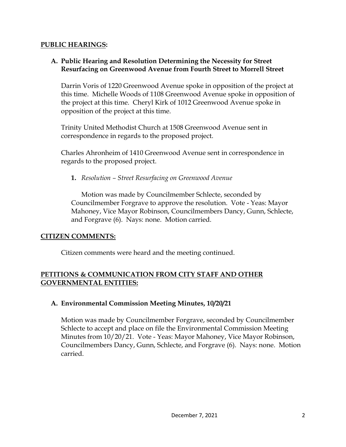#### **PUBLIC HEARINGS:**

# **A. Public Hearing and Resolution Determining the Necessity for Street Resurfacing on Greenwood Avenue from Fourth Street to Morrell Street**

Darrin Voris of 1220 Greenwood Avenue spoke in opposition of the project at this time. Michelle Woods of 1108 Greenwood Avenue spoke in opposition of the project at this time. Cheryl Kirk of 1012 Greenwood Avenue spoke in opposition of the project at this time.

Trinity United Methodist Church at 1508 Greenwood Avenue sent in correspondence in regards to the proposed project.

Charles Ahronheim of 1410 Greenwood Avenue sent in correspondence in regards to the proposed project.

**1.** *Resolution – Street Resurfacing on Greenwood Avenue* 

Motion was made by Councilmember Schlecte, seconded by Councilmember Forgrave to approve the resolution. Vote - Yeas: Mayor Mahoney, Vice Mayor Robinson, Councilmembers Dancy, Gunn, Schlecte, and Forgrave (6). Nays: none. Motion carried.

# **CITIZEN COMMENTS:**

Citizen comments were heard and the meeting continued.

# **PETITIONS & COMMUNICATION FROM CITY STAFF AND OTHER GOVERNMENTAL ENTITIES:**

#### **A. Environmental Commission Meeting Minutes, 10/20/21**

Motion was made by Councilmember Forgrave, seconded by Councilmember Schlecte to accept and place on file the Environmental Commission Meeting Minutes from 10/20/21. Vote - Yeas: Mayor Mahoney, Vice Mayor Robinson, Councilmembers Dancy, Gunn, Schlecte, and Forgrave (6). Nays: none. Motion carried.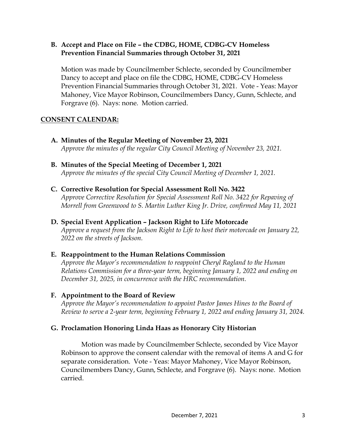### **B. Accept and Place on File – the CDBG, HOME, CDBG-CV Homeless Prevention Financial Summaries through October 31, 2021**

Motion was made by Councilmember Schlecte, seconded by Councilmember Dancy to accept and place on file the CDBG, HOME, CDBG-CV Homeless Prevention Financial Summaries through October 31, 2021. Vote - Yeas: Mayor Mahoney, Vice Mayor Robinson, Councilmembers Dancy, Gunn, Schlecte, and Forgrave (6). Nays: none. Motion carried.

# **CONSENT CALENDAR:**

- **A. Minutes of the Regular Meeting of November 23, 2021** *Approve the minutes of the regular City Council Meeting of November 23, 2021.*
- **B. Minutes of the Special Meeting of December 1, 2021**  *Approve the minutes of the special City Council Meeting of December 1, 2021.*
- **C. Corrective Resolution for Special Assessment Roll No. 3422** *Approve Corrective Resolution for Special Assessment Roll No. 3422 for Repaving of Morrell from Greenwood to S. Martin Luther King Jr. Drive, confirmed May 11, 2021*
- **D. Special Event Application – Jackson Right to Life Motorcade**

*Approve a request from the Jackson Right to Life to host their motorcade on January 22, 2022 on the streets of Jackson.* 

# **E. Reappointment to the Human Relations Commission**

*Approve the Mayor's recommendation to reappoint Cheryl Ragland to the Human Relations Commission for a three-year term, beginning January 1, 2022 and ending on December 31, 2025, in concurrence with the HRC recommendation.* 

# **F. Appointment to the Board of Review**

*Approve the Mayor's recommendation to appoint Pastor James Hines to the Board of Review to serve a 2-year term, beginning February 1, 2022 and ending January 31, 2024.* 

# **G. Proclamation Honoring Linda Haas as Honorary City Historian**

Motion was made by Councilmember Schlecte, seconded by Vice Mayor Robinson to approve the consent calendar with the removal of items A and G for separate consideration. Vote - Yeas: Mayor Mahoney, Vice Mayor Robinson, Councilmembers Dancy, Gunn, Schlecte, and Forgrave (6). Nays: none. Motion carried.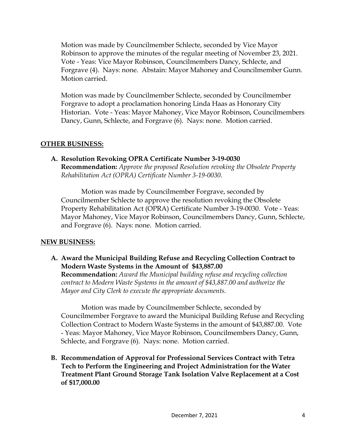Motion was made by Councilmember Schlecte, seconded by Vice Mayor Robinson to approve the minutes of the regular meeting of November 23, 2021. Vote - Yeas: Vice Mayor Robinson, Councilmembers Dancy, Schlecte, and Forgrave (4). Nays: none. Abstain: Mayor Mahoney and Councilmember Gunn. Motion carried.

Motion was made by Councilmember Schlecte, seconded by Councilmember Forgrave to adopt a proclamation honoring Linda Haas as Honorary City Historian. Vote - Yeas: Mayor Mahoney, Vice Mayor Robinson, Councilmembers Dancy, Gunn, Schlecte, and Forgrave (6). Nays: none. Motion carried.

#### **OTHER BUSINESS:**

**A. Resolution Revoking OPRA Certificate Number 3-19-0030 Recommendation:** *Approve the proposed Resolution revoking the Obsolete Property Rehabilitation Act (OPRA) Certificate Number 3-19-0030.* 

Motion was made by Councilmember Forgrave, seconded by Councilmember Schlecte to approve the resolution revoking the Obsolete Property Rehabilitation Act (OPRA) Certificate Number 3-19-0030. Vote - Yeas: Mayor Mahoney, Vice Mayor Robinson, Councilmembers Dancy, Gunn, Schlecte, and Forgrave (6). Nays: none. Motion carried.

# **NEW BUSINESS:**

**A. Award the Municipal Building Refuse and Recycling Collection Contract to Modern Waste Systems in the Amount of \$43,887.00**

**Recommendation:** *Award the Municipal building refuse and recycling collection contract to Modern Waste Systems in the amount of \$43,887.00 and authorize the Mayor and City Clerk to execute the appropriate documents.* 

Motion was made by Councilmember Schlecte, seconded by Councilmember Forgrave to award the Municipal Building Refuse and Recycling Collection Contract to Modern Waste Systems in the amount of \$43,887.00. Vote - Yeas: Mayor Mahoney, Vice Mayor Robinson, Councilmembers Dancy, Gunn, Schlecte, and Forgrave (6). Nays: none. Motion carried.

**B. Recommendation of Approval for Professional Services Contract with Tetra Tech to Perform the Engineering and Project Administration for the Water Treatment Plant Ground Storage Tank Isolation Valve Replacement at a Cost of \$17,000.00**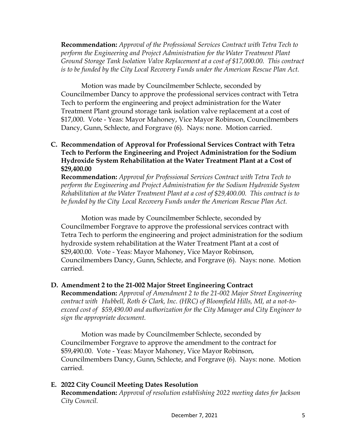**Recommendation:** *Approval of the Professional Services Contract with Tetra Tech to perform the Engineering and Project Administration for the Water Treatment Plant Ground Storage Tank Isolation Valve Replacement at a cost of \$17,000.00. This contract is to be funded by the City Local Recovery Funds under the American Rescue Plan Act.* 

Motion was made by Councilmember Schlecte, seconded by Councilmember Dancy to approve the professional services contract with Tetra Tech to perform the engineering and project administration for the Water Treatment Plant ground storage tank isolation valve replacement at a cost of \$17,000. Vote - Yeas: Mayor Mahoney, Vice Mayor Robinson, Councilmembers Dancy, Gunn, Schlecte, and Forgrave (6). Nays: none. Motion carried.

### **C. Recommendation of Approval for Professional Services Contract with Tetra Tech to Perform the Engineering and Project Administration for the Sodium Hydroxide System Rehabilitation at the Water Treatment Plant at a Cost of \$29,400.00**

**Recommendation:** *Approval for Professional Services Contract with Tetra Tech to perform the Engineering and Project Administration for the Sodium Hydroxide System Rehabilitation at the Water Treatment Plant at a cost of \$29,400.00. This contract is to*  be funded by the City Local Recovery Funds under the American Rescue Plan Act.

Motion was made by Councilmember Schlecte, seconded by Councilmember Forgrave to approve the professional services contract with Tetra Tech to perform the engineering and project administration for the sodium hydroxide system rehabilitation at the Water Treatment Plant at a cost of \$29,400.00. Vote - Yeas: Mayor Mahoney, Vice Mayor Robinson, Councilmembers Dancy, Gunn, Schlecte, and Forgrave (6). Nays: none. Motion carried.

#### **D. Amendment 2 to the 21-002 Major Street Engineering Contract**

**Recommendation:** *Approval of Amendment 2 to the 21-002 Major Street Engineering contract with Hubbell, Roth & Clark, Inc. (HRC) of Bloomfield Hills, MI, at a not-toexceed cost of \$59,490.00 and authorization for the City Manager and City Engineer to sign the appropriate document.* 

Motion was made by Councilmember Schlecte, seconded by Councilmember Forgrave to approve the amendment to the contract for \$59,490.00. Vote - Yeas: Mayor Mahoney, Vice Mayor Robinson, Councilmembers Dancy, Gunn, Schlecte, and Forgrave (6). Nays: none. Motion carried.

# **E. 2022 City Council Meeting Dates Resolution**

**Recommendation:** *Approval of resolution establishing 2022 meeting dates for Jackson City Council.*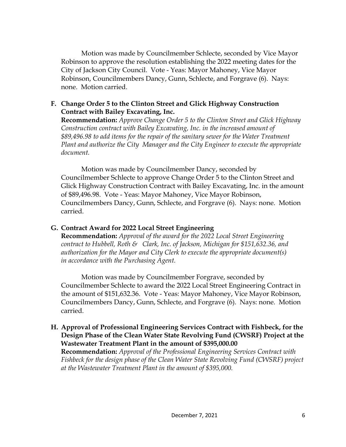Motion was made by Councilmember Schlecte, seconded by Vice Mayor Robinson to approve the resolution establishing the 2022 meeting dates for the City of Jackson City Council. Vote - Yeas: Mayor Mahoney, Vice Mayor Robinson, Councilmembers Dancy, Gunn, Schlecte, and Forgrave (6). Nays: none. Motion carried.

#### **F. Change Order 5 to the Clinton Street and Glick Highway Construction Contract with Bailey Excavating, Inc.**

**Recommendation:** *Approve Change Order 5 to the Clinton Street and Glick Highway Construction contract with Bailey Excavating, Inc. in the increased amount of \$89,496.98 to add items for the repair of the sanitary sewer for the Water Treatment Plant and authorize the City Manager and the City Engineer to execute the appropriate document.* 

Motion was made by Councilmember Dancy, seconded by Councilmember Schlecte to approve Change Order 5 to the Clinton Street and Glick Highway Construction Contract with Bailey Excavating, Inc. in the amount of \$89,496.98. Vote - Yeas: Mayor Mahoney, Vice Mayor Robinson, Councilmembers Dancy, Gunn, Schlecte, and Forgrave (6). Nays: none. Motion carried.

# **G. Contract Award for 2022 Local Street Engineering**

**Recommendation:** *Approval of the award for the 2022 Local Street Engineering contract to Hubbell, Roth & Clark, Inc. of Jackson, Michigan for \$151,632.36, and authorization for the Mayor and City Clerk to execute the appropriate document(s) in accordance with the Purchasing Agent.* 

Motion was made by Councilmember Forgrave, seconded by Councilmember Schlecte to award the 2022 Local Street Engineering Contract in the amount of \$151,632.36. Vote - Yeas: Mayor Mahoney, Vice Mayor Robinson, Councilmembers Dancy, Gunn, Schlecte, and Forgrave (6). Nays: none. Motion carried.

**H. Approval of Professional Engineering Services Contract with Fishbeck, for the Design Phase of the Clean Water State Revolving Fund (CWSRF) Project at the Wastewater Treatment Plant in the amount of \$395,000.00**

**Recommendation:** *Approval of the Professional Engineering Services Contract with Fishbeck for the design phase of the Clean Water State Revolving Fund (CWSRF) project at the Wastewater Treatment Plant in the amount of \$395,000.*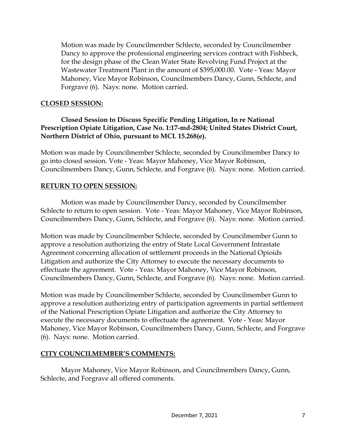Motion was made by Councilmember Schlecte, seconded by Councilmember Dancy to approve the professional engineering services contract with Fishbeck, for the design phase of the Clean Water State Revolving Fund Project at the Wastewater Treatment Plant in the amount of \$395,000.00. Vote - Yeas: Mayor Mahoney, Vice Mayor Robinson, Councilmembers Dancy, Gunn, Schlecte, and Forgrave (6). Nays: none. Motion carried.

# **CLOSED SESSION:**

# **Closed Session to Discuss Specific Pending Litigation, In re National Prescription Opiate Litigation, Case No. 1:17-md-2804; United States District Court, Northern District of Ohio, pursuant to MCL 15.268(e).**

Motion was made by Councilmember Schlecte, seconded by Councilmember Dancy to go into closed session. Vote - Yeas: Mayor Mahoney, Vice Mayor Robinson, Councilmembers Dancy, Gunn, Schlecte, and Forgrave (6). Nays: none. Motion carried.

#### **RETURN TO OPEN SESSION:**

Motion was made by Councilmember Dancy, seconded by Councilmember Schlecte to return to open session. Vote - Yeas: Mayor Mahoney, Vice Mayor Robinson, Councilmembers Dancy, Gunn, Schlecte, and Forgrave (6). Nays: none. Motion carried.

Motion was made by Councilmember Schlecte, seconded by Councilmember Gunn to approve a resolution authorizing the entry of State Local Government Intrastate Agreement concerning allocation of settlement proceeds in the National Opioids Litigation and authorize the City Attorney to execute the necessary documents to effectuate the agreement. Vote - Yeas: Mayor Mahoney, Vice Mayor Robinson, Councilmembers Dancy, Gunn, Schlecte, and Forgrave (6). Nays: none. Motion carried.

Motion was made by Councilmember Schlecte, seconded by Councilmember Gunn to approve a resolution authorizing entry of participation agreements in partial settlement of the National Prescription Opiate Litigation and authorize the City Attorney to execute the necessary documents to effectuate the agreement. Vote - Yeas: Mayor Mahoney, Vice Mayor Robinson, Councilmembers Dancy, Gunn, Schlecte, and Forgrave (6). Nays: none. Motion carried.

#### **CITY COUNCILMEMBER'S COMMENTS:**

Mayor Mahoney, Vice Mayor Robinson, and Councilmembers Dancy, Gunn, Schlecte, and Forgrave all offered comments.